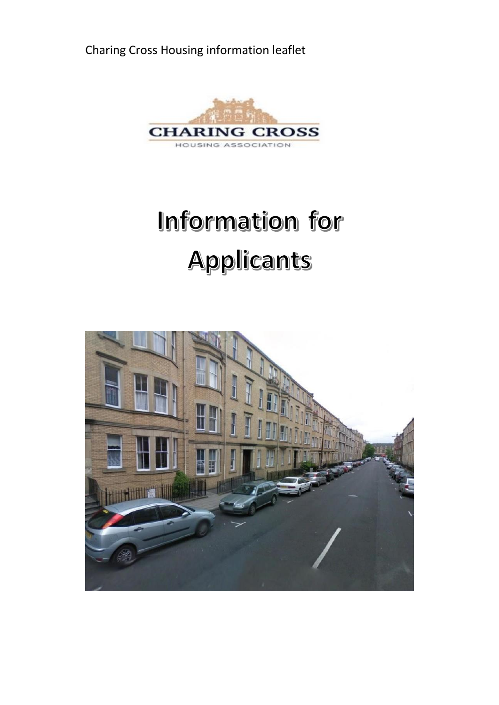Charing Cross Housing information leaflet



## Information for Applicants

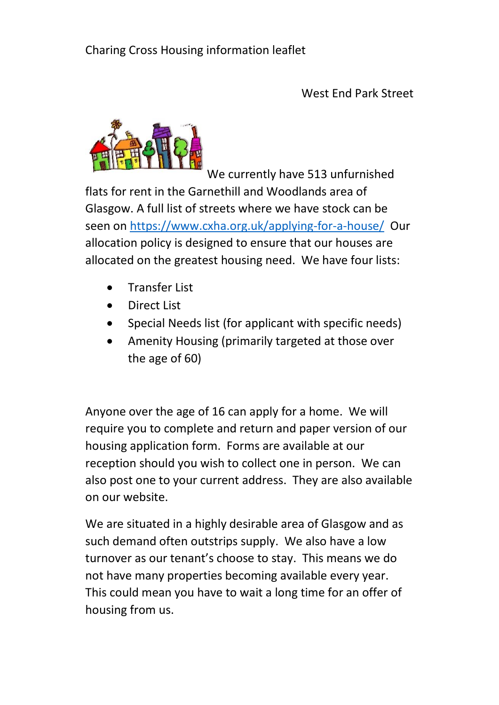West End Park Street



We currently have 513 unfurnished flats for rent in the Garnethill and Woodlands area of Glasgow. A full list of streets where we have stock can be seen o[n https://www.cxha.org.uk/applying-for-a-house/](https://www.cxha.org.uk/applying-for-a-house/) Our allocation policy is designed to ensure that our houses are allocated on the greatest housing need. We have four lists:

- Transfer List
- Direct List
- Special Needs list (for applicant with specific needs)
- Amenity Housing (primarily targeted at those over the age of 60)

Anyone over the age of 16 can apply for a home. We will require you to complete and return and paper version of our housing application form. Forms are available at our reception should you wish to collect one in person. We can also post one to your current address. They are also available on our website.

We are situated in a highly desirable area of Glasgow and as such demand often outstrips supply. We also have a low turnover as our tenant's choose to stay. This means we do not have many properties becoming available every year. This could mean you have to wait a long time for an offer of housing from us.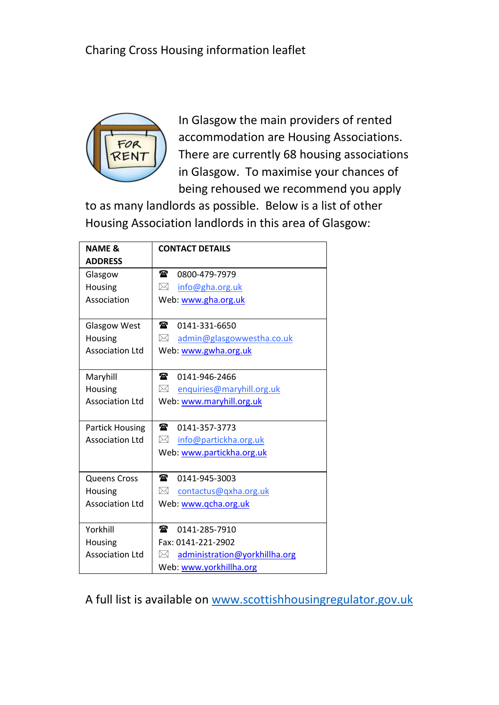

In Glasgow the main providers of rented accommodation are Housing Associations. There are currently 68 housing associations in Glasgow. To maximise your chances of being rehoused we recommend you apply

to as many landlords as possible. Below is a list of other Housing Association landlords in this area of Glasgow:

| <b>NAME &amp;</b>      | <b>CONTACT DETAILS</b>             |
|------------------------|------------------------------------|
| <b>ADDRESS</b>         |                                    |
| Glasgow                | $\mathbf{r}$<br>0800-479-7979      |
| Housing                | ⊠<br>info@gha.org.uk               |
| Association            | Web: www.gha.org.uk                |
|                        |                                    |
| Glasgow West           | $\mathbf{r}$<br>0141-331-6650      |
| Housing                | admin@glasgowwestha.co.uk<br>⋈     |
| <b>Association Ltd</b> | Web: www.gwha.org.uk               |
|                        |                                    |
| Maryhill               | $\mathbf{z}$<br>0141-946-2466      |
| Housing                | ⊠<br>enquiries@maryhill.org.uk     |
| <b>Association Ltd</b> | Web: www.maryhill.org.uk           |
|                        |                                    |
| <b>Partick Housing</b> | $\mathbf{r}$<br>0141-357-3773      |
| <b>Association Ltd</b> | M.<br>info@partickha.org.uk        |
|                        | Web: www.partickha.org.uk          |
|                        |                                    |
| Queens Cross           | $\mathbf{r}$<br>0141-945-3003      |
| Housing                | ⊠<br>contactus@gxha.org.uk         |
| <b>Association Ltd</b> | Web: www.qcha.org.uk               |
|                        |                                    |
| Yorkhill               | 金<br>0141-285-7910                 |
| Housing                | Fax: 0141-221-2902                 |
| <b>Association Ltd</b> | administration@yorkhillha.org<br>⋈ |
|                        | Web: www.yorkhillha.org            |

A full list is available o[n www.scottishhousingregulator.gov.uk](http://www.scottishhousingregulator.gov.uk/)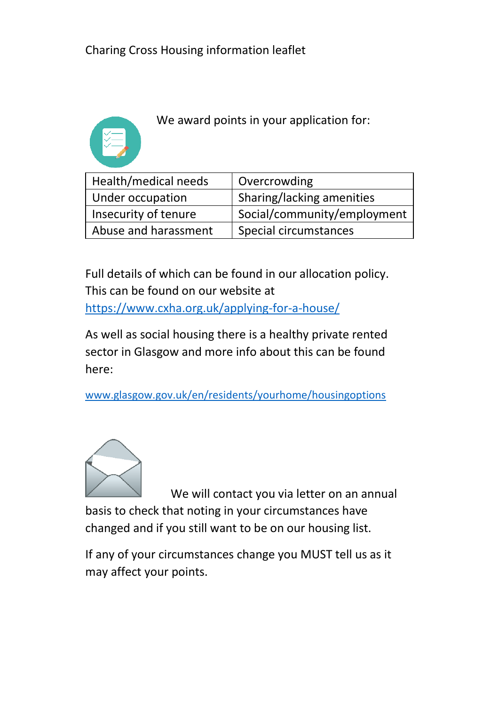

We award points in your application for:

| Health/medical needs | Overcrowding                |  |
|----------------------|-----------------------------|--|
| Under occupation     | Sharing/lacking amenities   |  |
| Insecurity of tenure | Social/community/employment |  |
| Abuse and harassment | Special circumstances       |  |

Full details of which can be found in our allocation policy. This can be found on our website at <https://www.cxha.org.uk/applying-for-a-house/>

As well as social housing there is a healthy private rented sector in Glasgow and more info about this can be found here:

[www.glasgow.gov.uk/en/residents/yourhome/housingoptions](http://www.glasgow.gov.uk/en/residents/yourhome/housingoptions)



We will contact you via letter on an annual basis to check that noting in your circumstances have changed and if you still want to be on our housing list.

If any of your circumstances change you MUST tell us as it may affect your points.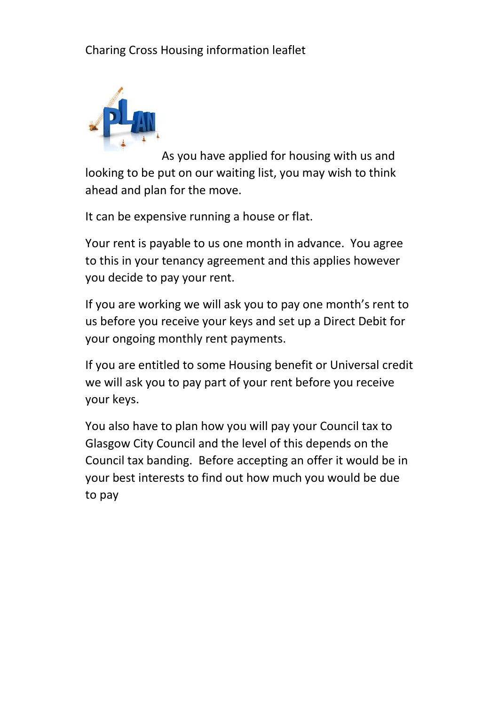

As you have applied for housing with us and looking to be put on our waiting list, you may wish to think ahead and plan for the move.

It can be expensive running a house or flat.

Your rent is payable to us one month in advance. You agree to this in your tenancy agreement and this applies however you decide to pay your rent.

If you are working we will ask you to pay one month's rent to us before you receive your keys and set up a Direct Debit for your ongoing monthly rent payments.

If you are entitled to some Housing benefit or Universal credit we will ask you to pay part of your rent before you receive your keys.

You also have to plan how you will pay your Council tax to Glasgow City Council and the level of this depends on the Council tax banding. Before accepting an offer it would be in your best interests to find out how much you would be due to pay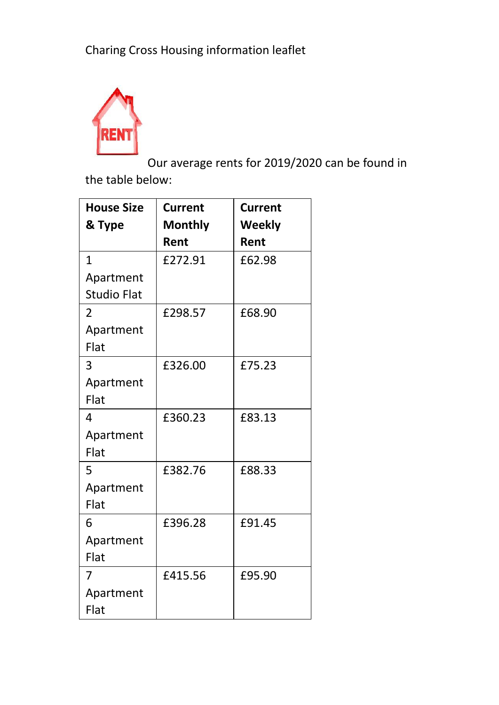

Our average rents for 2019/2020 can be found in the table below:

| <b>House Size</b>  | <b>Current</b> | <b>Current</b> |
|--------------------|----------------|----------------|
| & Type             | <b>Monthly</b> | Weekly         |
|                    | Rent           | Rent           |
| $\mathbf{1}$       | £272.91        | £62.98         |
| Apartment          |                |                |
| <b>Studio Flat</b> |                |                |
| $\overline{2}$     | £298.57        | £68.90         |
| Apartment          |                |                |
| Flat               |                |                |
| 3                  | £326.00        | £75.23         |
| Apartment          |                |                |
| Flat               |                |                |
| 4                  | £360.23        | £83.13         |
| Apartment          |                |                |
| Flat               |                |                |
| 5                  | £382.76        | £88.33         |
| Apartment          |                |                |
| Flat               |                |                |
| 6                  | £396.28        | £91.45         |
| Apartment          |                |                |
| Flat               |                |                |
| 7                  | £415.56        | £95.90         |
| Apartment          |                |                |
| Flat               |                |                |